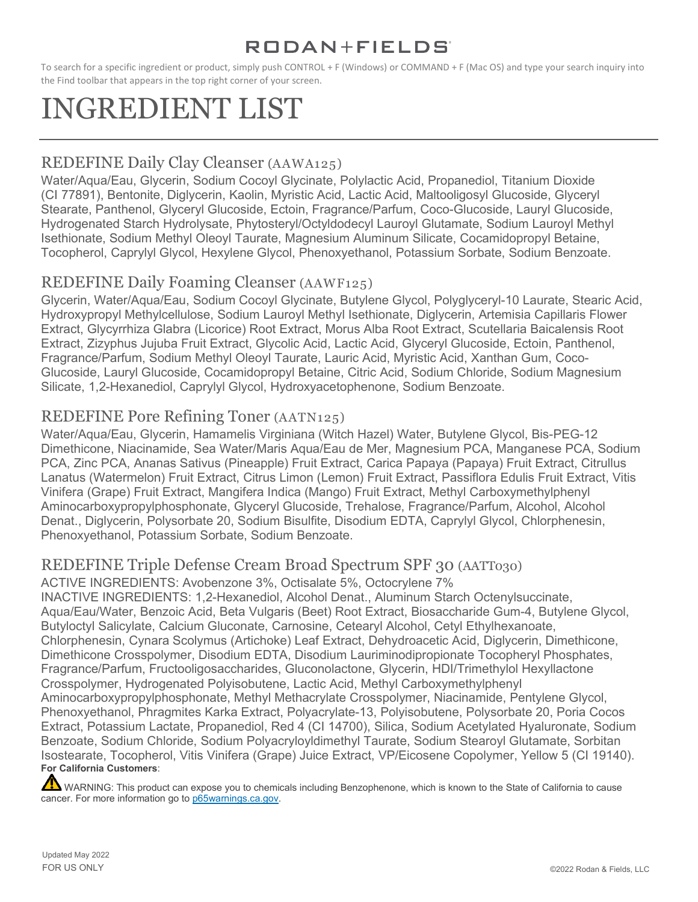To search for a specific ingredient or product, simply push CONTROL + F (Windows) or COMMAND + F (Mac OS) and type your search inquiry into the Find toolbar that appears in the top right corner of your screen.

# INGREDIENT LIST

### REDEFINE Daily Clay Cleanser (AAWA125)

Water/Aqua/Eau, Glycerin, Sodium Cocoyl Glycinate, Polylactic Acid, Propanediol, Titanium Dioxide (CI 77891), Bentonite, Diglycerin, Kaolin, Myristic Acid, Lactic Acid, Maltooligosyl Glucoside, Glyceryl Stearate, Panthenol, Glyceryl Glucoside, Ectoin, Fragrance/Parfum, Coco-Glucoside, Lauryl Glucoside, Hydrogenated Starch Hydrolysate, Phytosteryl/Octyldodecyl Lauroyl Glutamate, Sodium Lauroyl Methyl Isethionate, Sodium Methyl Oleoyl Taurate, Magnesium Aluminum Silicate, Cocamidopropyl Betaine, Tocopherol, Caprylyl Glycol, Hexylene Glycol, Phenoxyethanol, Potassium Sorbate, Sodium Benzoate.

### REDEFINE Daily Foaming Cleanser (AAWF125)

Glycerin, Water/Aqua/Eau, Sodium Cocoyl Glycinate, Butylene Glycol, Polyglyceryl-10 Laurate, Stearic Acid, Hydroxypropyl Methylcellulose, Sodium Lauroyl Methyl Isethionate, Diglycerin, Artemisia Capillaris Flower Extract, Glycyrrhiza Glabra (Licorice) Root Extract, Morus Alba Root Extract, Scutellaria Baicalensis Root Extract, Zizyphus Jujuba Fruit Extract, Glycolic Acid, Lactic Acid, Glyceryl Glucoside, Ectoin, Panthenol, Fragrance/Parfum, Sodium Methyl Oleoyl Taurate, Lauric Acid, Myristic Acid, Xanthan Gum, Coco-Glucoside, Lauryl Glucoside, Cocamidopropyl Betaine, Citric Acid, Sodium Chloride, Sodium Magnesium Silicate, 1,2-Hexanediol, Caprylyl Glycol, Hydroxyacetophenone, Sodium Benzoate.

### REDEFINE Pore Refining Toner (AATN125)

Water/Aqua/Eau, Glycerin, Hamamelis Virginiana (Witch Hazel) Water, Butylene Glycol, Bis-PEG-12 Dimethicone, Niacinamide, Sea Water/Maris Aqua/Eau de Mer, Magnesium PCA, Manganese PCA, Sodium PCA, Zinc PCA, Ananas Sativus (Pineapple) Fruit Extract, Carica Papaya (Papaya) Fruit Extract, Citrullus Lanatus (Watermelon) Fruit Extract, Citrus Limon (Lemon) Fruit Extract, Passiflora Edulis Fruit Extract, Vitis Vinifera (Grape) Fruit Extract, Mangifera Indica (Mango) Fruit Extract, Methyl Carboxymethylphenyl Aminocarboxypropylphosphonate, Glyceryl Glucoside, Trehalose, Fragrance/Parfum, Alcohol, Alcohol Denat., Diglycerin, Polysorbate 20, Sodium Bisulfite, Disodium EDTA, Caprylyl Glycol, Chlorphenesin, Phenoxyethanol, Potassium Sorbate, Sodium Benzoate.

### REDEFINE Triple Defense Cream Broad Spectrum SPF 30 (AATT030)

ACTIVE INGREDIENTS: Avobenzone 3%, Octisalate 5%, Octocrylene 7%

INACTIVE INGREDIENTS: 1,2-Hexanediol, Alcohol Denat., Aluminum Starch Octenylsuccinate, Aqua/Eau/Water, Benzoic Acid, Beta Vulgaris (Beet) Root Extract, Biosaccharide Gum-4, Butylene Glycol, Butyloctyl Salicylate, Calcium Gluconate, Carnosine, Cetearyl Alcohol, Cetyl Ethylhexanoate, Chlorphenesin, Cynara Scolymus (Artichoke) Leaf Extract, Dehydroacetic Acid, Diglycerin, Dimethicone, Dimethicone Crosspolymer, Disodium EDTA, Disodium Lauriminodipropionate Tocopheryl Phosphates, Fragrance/Parfum, Fructooligosaccharides, Gluconolactone, Glycerin, HDI/Trimethylol Hexyllactone Crosspolymer, Hydrogenated Polyisobutene, Lactic Acid, Methyl Carboxymethylphenyl Aminocarboxypropylphosphonate, Methyl Methacrylate Crosspolymer, Niacinamide, Pentylene Glycol, Phenoxyethanol, Phragmites Karka Extract, Polyacrylate-13, Polyisobutene, Polysorbate 20, Poria Cocos Extract, Potassium Lactate, Propanediol, Red 4 (CI 14700), Silica, Sodium Acetylated Hyaluronate, Sodium Benzoate, Sodium Chloride, Sodium Polyacryloyldimethyl Taurate, Sodium Stearoyl Glutamate, Sorbitan Isostearate, Tocopherol, Vitis Vinifera (Grape) Juice Extract, VP/Eicosene Copolymer, Yellow 5 (CI 19140). **For California Customers**:

WARNING: This product can expose you to chemicals including Benzophenone, which is known to the State of California to cause cancer. For more information go to [p65warnings.ca.gov.](https://www.p65warnings.ca.gov/)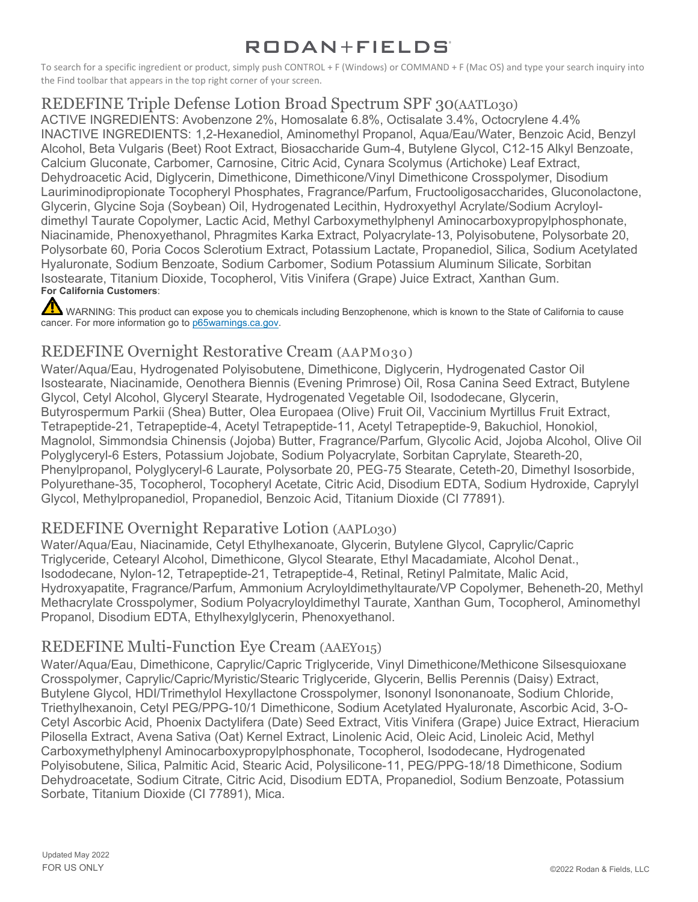To search for a specific ingredient or product, simply push CONTROL + F (Windows) or COMMAND + F (Mac OS) and type your search inquiry into the Find toolbar that appears in the top right corner of your screen.

### REDEFINE Triple Defense Lotion Broad Spectrum SPF 30(AATL030)

ACTIVE INGREDIENTS: Avobenzone 2%, Homosalate 6.8%, Octisalate 3.4%, Octocrylene 4.4% INACTIVE INGREDIENTS: 1,2-Hexanediol, Aminomethyl Propanol, Aqua/Eau/Water, Benzoic Acid, Benzyl Alcohol, Beta Vulgaris (Beet) Root Extract, Biosaccharide Gum-4, Butylene Glycol, C12-15 Alkyl Benzoate, Calcium Gluconate, Carbomer, Carnosine, Citric Acid, Cynara Scolymus (Artichoke) Leaf Extract, Dehydroacetic Acid, Diglycerin, Dimethicone, Dimethicone/Vinyl Dimethicone Crosspolymer, Disodium Lauriminodipropionate Tocopheryl Phosphates, Fragrance/Parfum, Fructooligosaccharides, Gluconolactone, Glycerin, Glycine Soja (Soybean) Oil, Hydrogenated Lecithin, Hydroxyethyl Acrylate/Sodium Acryloyldimethyl Taurate Copolymer, Lactic Acid, Methyl Carboxymethylphenyl Aminocarboxypropylphosphonate, Niacinamide, Phenoxyethanol, Phragmites Karka Extract, Polyacrylate-13, Polyisobutene, Polysorbate 20, Polysorbate 60, Poria Cocos Sclerotium Extract, Potassium Lactate, Propanediol, Silica, Sodium Acetylated Hyaluronate, Sodium Benzoate, Sodium Carbomer, Sodium Potassium Aluminum Silicate, Sorbitan Isostearate, Titanium Dioxide, Tocopherol, Vitis Vinifera (Grape) Juice Extract, Xanthan Gum. **For California Customers**:

WARNING: This product can expose you to chemicals including Benzophenone, which is known to the State of California to cause cancer. For more information go to [p65warnings.ca.gov.](https://www.p65warnings.ca.gov/)

### REDEFINE Overnight Restorative Cream (AAPM030)

Water/Aqua/Eau, Hydrogenated Polyisobutene, Dimethicone, Diglycerin, Hydrogenated Castor Oil Isostearate, Niacinamide, Oenothera Biennis (Evening Primrose) Oil, Rosa Canina Seed Extract, Butylene Glycol, Cetyl Alcohol, Glyceryl Stearate, Hydrogenated Vegetable Oil, Isododecane, Glycerin, Butyrospermum Parkii (Shea) Butter, Olea Europaea (Olive) Fruit Oil, Vaccinium Myrtillus Fruit Extract, Tetrapeptide-21, Tetrapeptide-4, Acetyl Tetrapeptide-11, Acetyl Tetrapeptide-9, Bakuchiol, Honokiol, Magnolol, Simmondsia Chinensis (Jojoba) Butter, Fragrance/Parfum, Glycolic Acid, Jojoba Alcohol, Olive Oil Polyglyceryl-6 Esters, Potassium Jojobate, Sodium Polyacrylate, Sorbitan Caprylate, Steareth-20, Phenylpropanol, Polyglyceryl-6 Laurate, Polysorbate 20, PEG-75 Stearate, Ceteth-20, Dimethyl Isosorbide, Polyurethane-35, Tocopherol, Tocopheryl Acetate, Citric Acid, Disodium EDTA, Sodium Hydroxide, Caprylyl Glycol, Methylpropanediol, Propanediol, Benzoic Acid, Titanium Dioxide (CI 77891).

### REDEFINE Overnight Reparative Lotion (AAPL030)

Water/Aqua/Eau, Niacinamide, Cetyl Ethylhexanoate, Glycerin, Butylene Glycol, Caprylic/Capric Triglyceride, Cetearyl Alcohol, Dimethicone, Glycol Stearate, Ethyl Macadamiate, Alcohol Denat., Isododecane, Nylon-12, Tetrapeptide-21, Tetrapeptide-4, Retinal, Retinyl Palmitate, Malic Acid, Hydroxyapatite, Fragrance/Parfum, Ammonium Acryloyldimethyltaurate/VP Copolymer, Beheneth-20, Methyl Methacrylate Crosspolymer, Sodium Polyacryloyldimethyl Taurate, Xanthan Gum, Tocopherol, Aminomethyl Propanol, Disodium EDTA, Ethylhexylglycerin, Phenoxyethanol.

### REDEFINE Multi-Function Eye Cream (AAEY015)

Water/Aqua/Eau, Dimethicone, Caprylic/Capric Triglyceride, Vinyl Dimethicone/Methicone Silsesquioxane Crosspolymer, Caprylic/Capric/Myristic/Stearic Triglyceride, Glycerin, Bellis Perennis (Daisy) Extract, Butylene Glycol, HDI/Trimethylol Hexyllactone Crosspolymer, Isononyl Isononanoate, Sodium Chloride, Triethylhexanoin, Cetyl PEG/PPG-10/1 Dimethicone, Sodium Acetylated Hyaluronate, Ascorbic Acid, 3-O-Cetyl Ascorbic Acid, Phoenix Dactylifera (Date) Seed Extract, Vitis Vinifera (Grape) Juice Extract, Hieracium Pilosella Extract, Avena Sativa (Oat) Kernel Extract, Linolenic Acid, Oleic Acid, Linoleic Acid, Methyl Carboxymethylphenyl Aminocarboxypropylphosphonate, Tocopherol, Isododecane, Hydrogenated Polyisobutene, Silica, Palmitic Acid, Stearic Acid, Polysilicone-11, PEG/PPG-18/18 Dimethicone, Sodium Dehydroacetate, Sodium Citrate, Citric Acid, Disodium EDTA, Propanediol, Sodium Benzoate, Potassium Sorbate, Titanium Dioxide (CI 77891), Mica.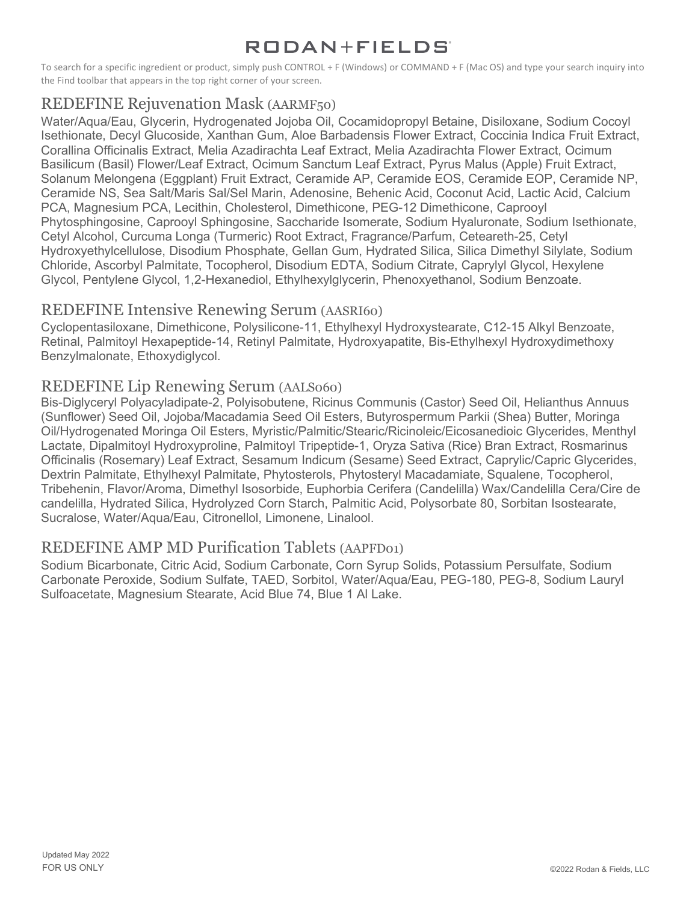To search for a specific ingredient or product, simply push CONTROL + F (Windows) or COMMAND + F (Mac OS) and type your search inquiry into the Find toolbar that appears in the top right corner of your screen.

# REDEFINE Rejuvenation Mask (AARMF50)

Water/Aqua/Eau, Glycerin, Hydrogenated Jojoba Oil, Cocamidopropyl Betaine, Disiloxane, Sodium Cocoyl Isethionate, Decyl Glucoside, Xanthan Gum, Aloe Barbadensis Flower Extract, Coccinia Indica Fruit Extract, Corallina Officinalis Extract, Melia Azadirachta Leaf Extract, Melia Azadirachta Flower Extract, Ocimum Basilicum (Basil) Flower/Leaf Extract, Ocimum Sanctum Leaf Extract, Pyrus Malus (Apple) Fruit Extract, Solanum Melongena (Eggplant) Fruit Extract, Ceramide AP, Ceramide EOS, Ceramide EOP, Ceramide NP, Ceramide NS, Sea Salt/Maris Sal/Sel Marin, Adenosine, Behenic Acid, Coconut Acid, Lactic Acid, Calcium PCA, Magnesium PCA, Lecithin, Cholesterol, Dimethicone, PEG-12 Dimethicone, Caprooyl Phytosphingosine, Caprooyl Sphingosine, Saccharide Isomerate, Sodium Hyaluronate, Sodium Isethionate, Cetyl Alcohol, Curcuma Longa (Turmeric) Root Extract, Fragrance/Parfum, Ceteareth-25, Cetyl Hydroxyethylcellulose, Disodium Phosphate, Gellan Gum, Hydrated Silica, Silica Dimethyl Silylate, Sodium Chloride, Ascorbyl Palmitate, Tocopherol, Disodium EDTA, Sodium Citrate, Caprylyl Glycol, Hexylene Glycol, Pentylene Glycol, 1,2-Hexanediol, Ethylhexylglycerin, Phenoxyethanol, Sodium Benzoate.

### REDEFINE Intensive Renewing Serum (AASRI60)

Cyclopentasiloxane, Dimethicone, Polysilicone-11, Ethylhexyl Hydroxystearate, C12-15 Alkyl Benzoate, Retinal, Palmitoyl Hexapeptide-14, Retinyl Palmitate, Hydroxyapatite, Bis-Ethylhexyl Hydroxydimethoxy Benzylmalonate, Ethoxydiglycol.

### REDEFINE Lip Renewing Serum (AALS060)

Bis-Diglyceryl Polyacyladipate-2, Polyisobutene, Ricinus Communis (Castor) Seed Oil, Helianthus Annuus (Sunflower) Seed Oil, Jojoba/Macadamia Seed Oil Esters, Butyrospermum Parkii (Shea) Butter, Moringa Oil/Hydrogenated Moringa Oil Esters, Myristic/Palmitic/Stearic/Ricinoleic/Eicosanedioic Glycerides, Menthyl Lactate, Dipalmitoyl Hydroxyproline, Palmitoyl Tripeptide-1, Oryza Sativa (Rice) Bran Extract, Rosmarinus Officinalis (Rosemary) Leaf Extract, Sesamum Indicum (Sesame) Seed Extract, Caprylic/Capric Glycerides, Dextrin Palmitate, Ethylhexyl Palmitate, Phytosterols, Phytosteryl Macadamiate, Squalene, Tocopherol, Tribehenin, Flavor/Aroma, Dimethyl Isosorbide, Euphorbia Cerifera (Candelilla) Wax/Candelilla Cera/Cire de candelilla, Hydrated Silica, Hydrolyzed Corn Starch, Palmitic Acid, Polysorbate 80, Sorbitan Isostearate, Sucralose, Water/Aqua/Eau, Citronellol, Limonene, Linalool.

### REDEFINE AMP MD Purification Tablets (AAPFD01)

Sodium Bicarbonate, Citric Acid, Sodium Carbonate, Corn Syrup Solids, Potassium Persulfate, Sodium Carbonate Peroxide, Sodium Sulfate, TAED, Sorbitol, Water/Aqua/Eau, PEG-180, PEG-8, Sodium Lauryl Sulfoacetate, Magnesium Stearate, Acid Blue 74, Blue 1 Al Lake.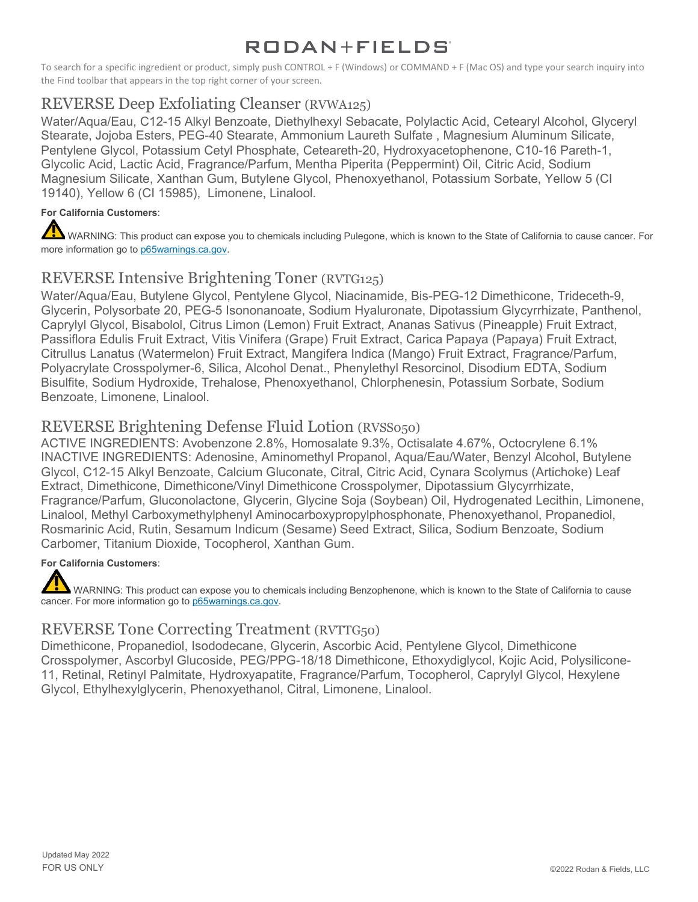To search for a specific ingredient or product, simply push CONTROL + F (Windows) or COMMAND + F (Mac OS) and type your search inquiry into the Find toolbar that appears in the top right corner of your screen.

### REVERSE Deep Exfoliating Cleanser (RVWA125)

Water/Aqua/Eau, C12-15 Alkyl Benzoate, Diethylhexyl Sebacate, Polylactic Acid, Cetearyl Alcohol, Glyceryl Stearate, Jojoba Esters, PEG-40 Stearate, Ammonium Laureth Sulfate , Magnesium Aluminum Silicate, Pentylene Glycol, Potassium Cetyl Phosphate, Ceteareth-20, Hydroxyacetophenone, C10-16 Pareth-1, Glycolic Acid, Lactic Acid, Fragrance/Parfum, Mentha Piperita (Peppermint) Oil, Citric Acid, Sodium Magnesium Silicate, Xanthan Gum, Butylene Glycol, Phenoxyethanol, Potassium Sorbate, Yellow 5 (CI 19140), Yellow 6 (CI 15985), Limonene, Linalool.

#### **For California Customers**:

WARNING: This product can expose you to chemicals including Pulegone, which is known to the State of California to cause cancer. For more information go to [p65warnings.ca.gov.](https://www.p65warnings.ca.gov/)

### REVERSE Intensive Brightening Toner (RVTG125)

Water/Aqua/Eau, Butylene Glycol, Pentylene Glycol, Niacinamide, Bis-PEG-12 Dimethicone, Trideceth-9, Glycerin, Polysorbate 20, PEG-5 Isononanoate, Sodium Hyaluronate, Dipotassium Glycyrrhizate, Panthenol, Caprylyl Glycol, Bisabolol, Citrus Limon (Lemon) Fruit Extract, Ananas Sativus (Pineapple) Fruit Extract, Passiflora Edulis Fruit Extract, Vitis Vinifera (Grape) Fruit Extract, Carica Papaya (Papaya) Fruit Extract, Citrullus Lanatus (Watermelon) Fruit Extract, Mangifera Indica (Mango) Fruit Extract, Fragrance/Parfum, Polyacrylate Crosspolymer-6, Silica, Alcohol Denat., Phenylethyl Resorcinol, Disodium EDTA, Sodium Bisulfite, Sodium Hydroxide, Trehalose, Phenoxyethanol, Chlorphenesin, Potassium Sorbate, Sodium Benzoate, Limonene, Linalool.

### REVERSE Brightening Defense Fluid Lotion (RVSS050)

ACTIVE INGREDIENTS: Avobenzone 2.8%, Homosalate 9.3%, Octisalate 4.67%, Octocrylene 6.1% INACTIVE INGREDIENTS: Adenosine, Aminomethyl Propanol, Aqua/Eau/Water, Benzyl Alcohol, Butylene Glycol, C12-15 Alkyl Benzoate, Calcium Gluconate, Citral, Citric Acid, Cynara Scolymus (Artichoke) Leaf Extract, Dimethicone, Dimethicone/Vinyl Dimethicone Crosspolymer, Dipotassium Glycyrrhizate, Fragrance/Parfum, Gluconolactone, Glycerin, Glycine Soja (Soybean) Oil, Hydrogenated Lecithin, Limonene, Linalool, Methyl Carboxymethylphenyl Aminocarboxypropylphosphonate, Phenoxyethanol, Propanediol, Rosmarinic Acid, Rutin, Sesamum Indicum (Sesame) Seed Extract, Silica, Sodium Benzoate, Sodium Carbomer, Titanium Dioxide, Tocopherol, Xanthan Gum.

#### **For California Customers**:

WARNING: This product can expose you to chemicals including Benzophenone, which is known to the State of California to cause cancer. For more information go to [p65warnings.ca.gov.](https://www.p65warnings.ca.gov/)

### REVERSE Tone Correcting Treatment (RVTTG50)

Dimethicone, Propanediol, Isododecane, Glycerin, Ascorbic Acid, Pentylene Glycol, Dimethicone Crosspolymer, Ascorbyl Glucoside, PEG/PPG-18/18 Dimethicone, Ethoxydiglycol, Kojic Acid, Polysilicone-11, Retinal, Retinyl Palmitate, Hydroxyapatite, Fragrance/Parfum, Tocopherol, Caprylyl Glycol, Hexylene Glycol, Ethylhexylglycerin, Phenoxyethanol, Citral, Limonene, Linalool.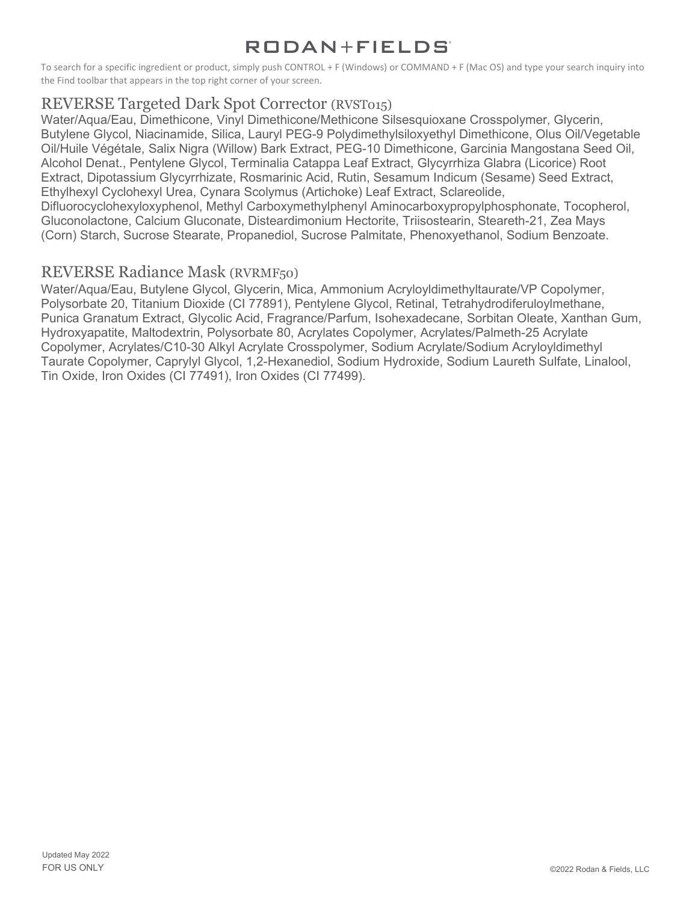To search for a specific ingredient or product, simply push CONTROL + F (Windows) or COMMAND + F (Mac OS) and type your search inquiry into the Find toolbar that appears in the top right corner of your screen.

### REVERSE Targeted Dark Spot Corrector (RVST015)

Water/Aqua/Eau, Dimethicone, Vinyl Dimethicone/Methicone Silsesquioxane Crosspolymer, Glycerin, Butylene Glycol, Niacinamide, Silica, Lauryl PEG-9 Polydimethylsiloxyethyl Dimethicone, Olus Oil/Vegetable Oil/Huile Végétale, Salix Nigra (Willow) Bark Extract, PEG-10 Dimethicone, Garcinia Mangostana Seed Oil, Alcohol Denat., Pentylene Glycol, Terminalia Catappa Leaf Extract, Glycyrrhiza Glabra (Licorice) Root Extract, Dipotassium Glycyrrhizate, Rosmarinic Acid, Rutin, Sesamum Indicum (Sesame) Seed Extract, Ethylhexyl Cyclohexyl Urea, Cynara Scolymus (Artichoke) Leaf Extract, Sclareolide, Difluorocyclohexyloxyphenol, Methyl Carboxymethylphenyl Aminocarboxypropylphosphonate, Tocopherol, Gluconolactone, Calcium Gluconate, Disteardimonium Hectorite, Triisostearin, Steareth-21, Zea Mays (Corn) Starch, Sucrose Stearate, Propanediol, Sucrose Palmitate, Phenoxyethanol, Sodium Benzoate.

### REVERSE Radiance Mask (RVRMF50)

Water/Aqua/Eau, Butylene Glycol, Glycerin, Mica, Ammonium Acryloyldimethyltaurate/VP Copolymer, Polysorbate 20, Titanium Dioxide (CI 77891), Pentylene Glycol, Retinal, Tetrahydrodiferuloylmethane, Punica Granatum Extract, Glycolic Acid, Fragrance/Parfum, Isohexadecane, Sorbitan Oleate, Xanthan Gum, Hydroxyapatite, Maltodextrin, Polysorbate 80, Acrylates Copolymer, Acrylates/Palmeth-25 Acrylate Copolymer, Acrylates/C10-30 Alkyl Acrylate Crosspolymer, Sodium Acrylate/Sodium Acryloyldimethyl Taurate Copolymer, Caprylyl Glycol, 1,2-Hexanediol, Sodium Hydroxide, Sodium Laureth Sulfate, Linalool, Tin Oxide, Iron Oxides (CI 77491), Iron Oxides (CI 77499).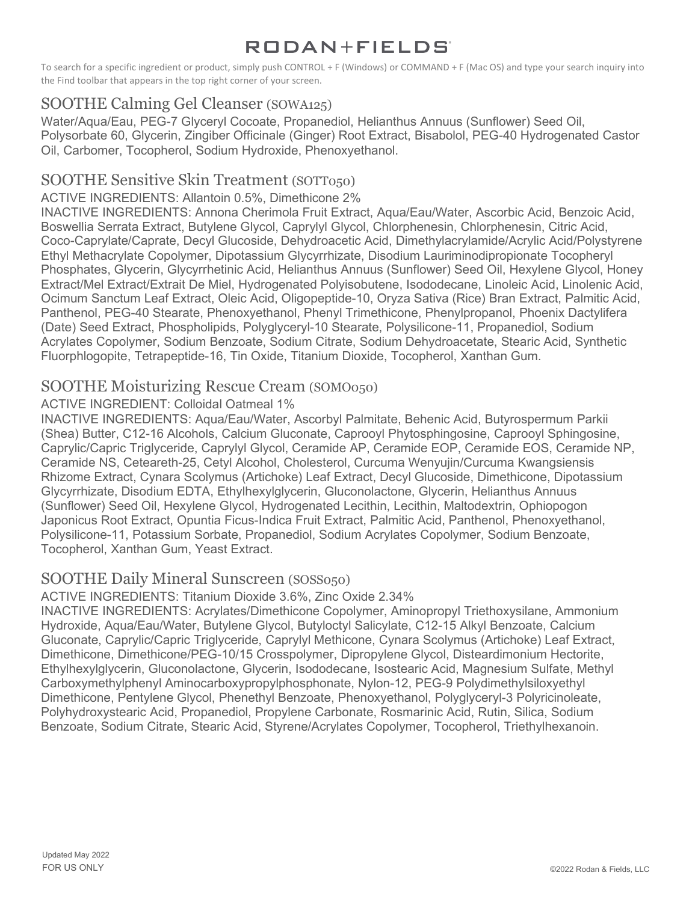To search for a specific ingredient or product, simply push CONTROL + F (Windows) or COMMAND + F (Mac OS) and type your search inquiry into the Find toolbar that appears in the top right corner of your screen.

### SOOTHE Calming Gel Cleanser (SOWA125)

Water/Aqua/Eau, PEG-7 Glyceryl Cocoate, Propanediol, Helianthus Annuus (Sunflower) Seed Oil, Polysorbate 60, Glycerin, Zingiber Officinale (Ginger) Root Extract, Bisabolol, PEG-40 Hydrogenated Castor Oil, Carbomer, Tocopherol, Sodium Hydroxide, Phenoxyethanol.

### SOOTHE Sensitive Skin Treatment (SOTT050)

#### ACTIVE INGREDIENTS: Allantoin 0.5%, Dimethicone 2%

INACTIVE INGREDIENTS: Annona Cherimola Fruit Extract, Aqua/Eau/Water, Ascorbic Acid, Benzoic Acid, Boswellia Serrata Extract, Butylene Glycol, Caprylyl Glycol, Chlorphenesin, Chlorphenesin, Citric Acid, Coco-Caprylate/Caprate, Decyl Glucoside, Dehydroacetic Acid, Dimethylacrylamide/Acrylic Acid/Polystyrene Ethyl Methacrylate Copolymer, Dipotassium Glycyrrhizate, Disodium Lauriminodipropionate Tocopheryl Phosphates, Glycerin, Glycyrrhetinic Acid, Helianthus Annuus (Sunflower) Seed Oil, Hexylene Glycol, Honey Extract/Mel Extract/Extrait De Miel, Hydrogenated Polyisobutene, Isododecane, Linoleic Acid, Linolenic Acid, Ocimum Sanctum Leaf Extract, Oleic Acid, Oligopeptide-10, Oryza Sativa (Rice) Bran Extract, Palmitic Acid, Panthenol, PEG-40 Stearate, Phenoxyethanol, Phenyl Trimethicone, Phenylpropanol, Phoenix Dactylifera (Date) Seed Extract, Phospholipids, Polyglyceryl-10 Stearate, Polysilicone-11, Propanediol, Sodium Acrylates Copolymer, Sodium Benzoate, Sodium Citrate, Sodium Dehydroacetate, Stearic Acid, Synthetic Fluorphlogopite, Tetrapeptide-16, Tin Oxide, Titanium Dioxide, Tocopherol, Xanthan Gum.

### SOOTHE Moisturizing Rescue Cream (SOMO050)

#### ACTIVE INGREDIENT: Colloidal Oatmeal 1%

INACTIVE INGREDIENTS: Aqua/Eau/Water, Ascorbyl Palmitate, Behenic Acid, Butyrospermum Parkii (Shea) Butter, C12-16 Alcohols, Calcium Gluconate, Caprooyl Phytosphingosine, Caprooyl Sphingosine, Caprylic/Capric Triglyceride, Caprylyl Glycol, Ceramide AP, Ceramide EOP, Ceramide EOS, Ceramide NP, Ceramide NS, Ceteareth-25, Cetyl Alcohol, Cholesterol, Curcuma Wenyujin/Curcuma Kwangsiensis Rhizome Extract, Cynara Scolymus (Artichoke) Leaf Extract, Decyl Glucoside, Dimethicone, Dipotassium Glycyrrhizate, Disodium EDTA, Ethylhexylglycerin, Gluconolactone, Glycerin, Helianthus Annuus (Sunflower) Seed Oil, Hexylene Glycol, Hydrogenated Lecithin, Lecithin, Maltodextrin, Ophiopogon Japonicus Root Extract, Opuntia Ficus-Indica Fruit Extract, Palmitic Acid, Panthenol, Phenoxyethanol, Polysilicone-11, Potassium Sorbate, Propanediol, Sodium Acrylates Copolymer, Sodium Benzoate, Tocopherol, Xanthan Gum, Yeast Extract.

### SOOTHE Daily Mineral Sunscreen (SOSS050)

ACTIVE INGREDIENTS: Titanium Dioxide 3.6%, Zinc Oxide 2.34%

INACTIVE INGREDIENTS: Acrylates/Dimethicone Copolymer, Aminopropyl Triethoxysilane, Ammonium Hydroxide, Aqua/Eau/Water, Butylene Glycol, Butyloctyl Salicylate, C12-15 Alkyl Benzoate, Calcium Gluconate, Caprylic/Capric Triglyceride, Caprylyl Methicone, Cynara Scolymus (Artichoke) Leaf Extract, Dimethicone, Dimethicone/PEG-10/15 Crosspolymer, Dipropylene Glycol, Disteardimonium Hectorite, Ethylhexylglycerin, Gluconolactone, Glycerin, Isododecane, Isostearic Acid, Magnesium Sulfate, Methyl Carboxymethylphenyl Aminocarboxypropylphosphonate, Nylon-12, PEG-9 Polydimethylsiloxyethyl Dimethicone, Pentylene Glycol, Phenethyl Benzoate, Phenoxyethanol, Polyglyceryl-3 Polyricinoleate, Polyhydroxystearic Acid, Propanediol, Propylene Carbonate, Rosmarinic Acid, Rutin, Silica, Sodium Benzoate, Sodium Citrate, Stearic Acid, Styrene/Acrylates Copolymer, Tocopherol, Triethylhexanoin.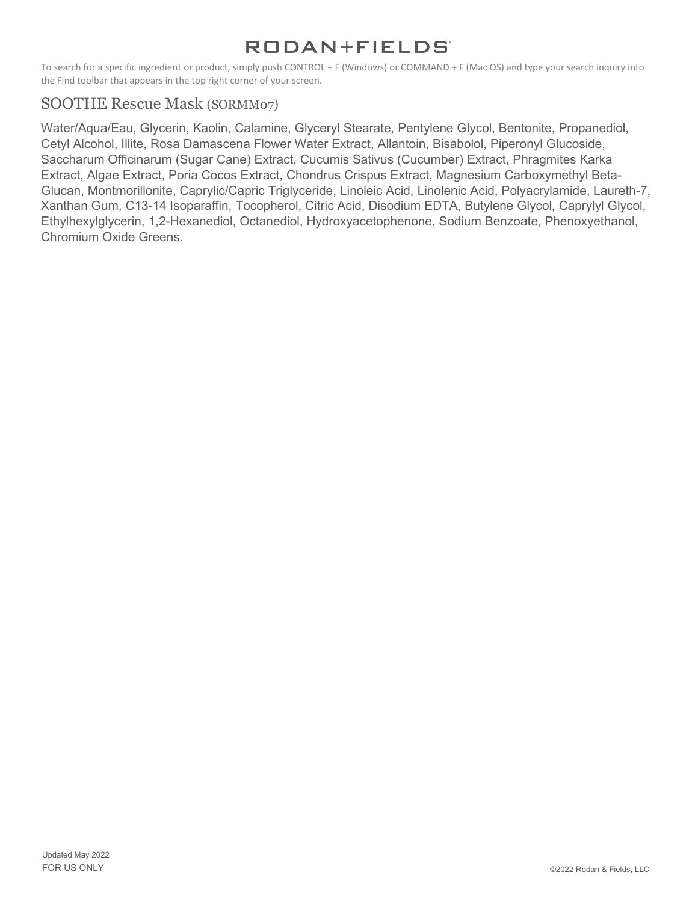To search for a specific ingredient or product, simply push CONTROL + F (Windows) or COMMAND + F (Mac OS) and type your search inquiry into the Find toolbar that appears in the top right corner of your screen.

### SOOTHE Rescue Mask (SORMM07)

Water/Aqua/Eau, Glycerin, Kaolin, Calamine, Glyceryl Stearate, Pentylene Glycol, Bentonite, Propanediol, Cetyl Alcohol, Illite, Rosa Damascena Flower Water Extract, Allantoin, Bisabolol, Piperonyl Glucoside, Saccharum Officinarum (Sugar Cane) Extract, Cucumis Sativus (Cucumber) Extract, Phragmites Karka Extract, Algae Extract, Poria Cocos Extract, Chondrus Crispus Extract, Magnesium Carboxymethyl Beta-Glucan, Montmorillonite, Caprylic/Capric Triglyceride, Linoleic Acid, Linolenic Acid, Polyacrylamide, Laureth-7, Xanthan Gum, C13-14 Isoparaffin, Tocopherol, Citric Acid, Disodium EDTA, Butylene Glycol, Caprylyl Glycol, Ethylhexylglycerin, 1,2-Hexanediol, Octanediol, Hydroxyacetophenone, Sodium Benzoate, Phenoxyethanol, Chromium Oxide Greens.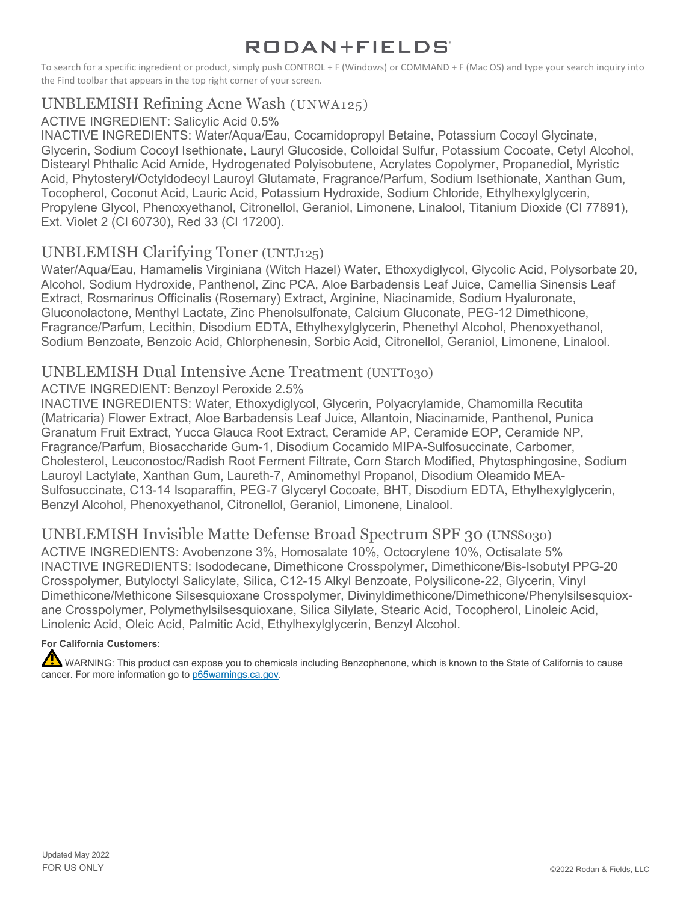To search for a specific ingredient or product, simply push CONTROL + F (Windows) or COMMAND + F (Mac OS) and type your search inquiry into the Find toolbar that appears in the top right corner of your screen.

### UNBLEMISH Refining Acne Wash (UNWA125)

#### ACTIVE INGREDIENT: Salicylic Acid 0.5%

INACTIVE INGREDIENTS: Water/Aqua/Eau, Cocamidopropyl Betaine, Potassium Cocoyl Glycinate, Glycerin, Sodium Cocoyl Isethionate, Lauryl Glucoside, Colloidal Sulfur, Potassium Cocoate, Cetyl Alcohol, Distearyl Phthalic Acid Amide, Hydrogenated Polyisobutene, Acrylates Copolymer, Propanediol, Myristic Acid, Phytosteryl/Octyldodecyl Lauroyl Glutamate, Fragrance/Parfum, Sodium Isethionate, Xanthan Gum, Tocopherol, Coconut Acid, Lauric Acid, Potassium Hydroxide, Sodium Chloride, Ethylhexylglycerin, Propylene Glycol, Phenoxyethanol, Citronellol, Geraniol, Limonene, Linalool, Titanium Dioxide (CI 77891), Ext. Violet 2 (CI 60730), Red 33 (CI 17200).

### UNBLEMISH Clarifying Toner (UNTJ125)

Water/Aqua/Eau, Hamamelis Virginiana (Witch Hazel) Water, Ethoxydiglycol, Glycolic Acid, Polysorbate 20, Alcohol, Sodium Hydroxide, Panthenol, Zinc PCA, Aloe Barbadensis Leaf Juice, Camellia Sinensis Leaf Extract, Rosmarinus Officinalis (Rosemary) Extract, Arginine, Niacinamide, Sodium Hyaluronate, Gluconolactone, Menthyl Lactate, Zinc Phenolsulfonate, Calcium Gluconate, PEG-12 Dimethicone, Fragrance/Parfum, Lecithin, Disodium EDTA, Ethylhexylglycerin, Phenethyl Alcohol, Phenoxyethanol, Sodium Benzoate, Benzoic Acid, Chlorphenesin, Sorbic Acid, Citronellol, Geraniol, Limonene, Linalool.

#### UNBLEMISH Dual Intensive Acne Treatment (UNTT030)

ACTIVE INGREDIENT: Benzoyl Peroxide 2.5%

INACTIVE INGREDIENTS: Water, Ethoxydiglycol, Glycerin, Polyacrylamide, Chamomilla Recutita (Matricaria) Flower Extract, Aloe Barbadensis Leaf Juice, Allantoin, Niacinamide, Panthenol, Punica Granatum Fruit Extract, Yucca Glauca Root Extract, Ceramide AP, Ceramide EOP, Ceramide NP, Fragrance/Parfum, Biosaccharide Gum-1, Disodium Cocamido MIPA-Sulfosuccinate, Carbomer, Cholesterol, Leuconostoc/Radish Root Ferment Filtrate, Corn Starch Modified, Phytosphingosine, Sodium Lauroyl Lactylate, Xanthan Gum, Laureth-7, Aminomethyl Propanol, Disodium Oleamido MEA-Sulfosuccinate, C13-14 Isoparaffin, PEG-7 Glyceryl Cocoate, BHT, Disodium EDTA, Ethylhexylglycerin, Benzyl Alcohol, Phenoxyethanol, Citronellol, Geraniol, Limonene, Linalool.

### UNBLEMISH Invisible Matte Defense Broad Spectrum SPF 30 (UNSS030)

ACTIVE INGREDIENTS: Avobenzone 3%, Homosalate 10%, Octocrylene 10%, Octisalate 5% INACTIVE INGREDIENTS: Isododecane, Dimethicone Crosspolymer, Dimethicone/Bis-Isobutyl PPG-20 Crosspolymer, Butyloctyl Salicylate, Silica, C12-15 Alkyl Benzoate, Polysilicone-22, Glycerin, Vinyl Dimethicone/Methicone Silsesquioxane Crosspolymer, Divinyldimethicone/Dimethicone/Phenylsilsesquioxane Crosspolymer, Polymethylsilsesquioxane, Silica Silylate, Stearic Acid, Tocopherol, Linoleic Acid, Linolenic Acid, Oleic Acid, Palmitic Acid, Ethylhexylglycerin, Benzyl Alcohol.

#### **For California Customers**:

WARNING: This product can expose you to chemicals including Benzophenone, which is known to the State of California to cause cancer. For more information go to [p65warnings.ca.gov.](https://www.p65warnings.ca.gov/)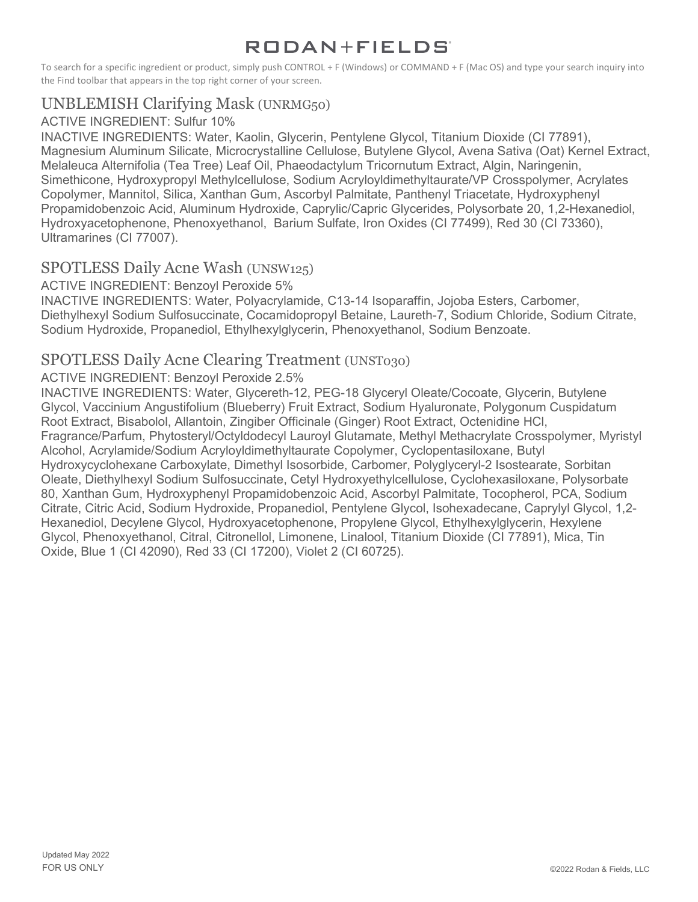To search for a specific ingredient or product, simply push CONTROL + F (Windows) or COMMAND + F (Mac OS) and type your search inquiry into the Find toolbar that appears in the top right corner of your screen.

### UNBLEMISH Clarifying Mask (UNRMG50)

#### ACTIVE INGREDIENT: Sulfur 10%

INACTIVE INGREDIENTS: Water, Kaolin, Glycerin, Pentylene Glycol, Titanium Dioxide (CI 77891), Magnesium Aluminum Silicate, Microcrystalline Cellulose, Butylene Glycol, Avena Sativa (Oat) Kernel Extract, Melaleuca Alternifolia (Tea Tree) Leaf Oil, Phaeodactylum Tricornutum Extract, Algin, Naringenin, Simethicone, Hydroxypropyl Methylcellulose, Sodium Acryloyldimethyltaurate/VP Crosspolymer, Acrylates Copolymer, Mannitol, Silica, Xanthan Gum, Ascorbyl Palmitate, Panthenyl Triacetate, Hydroxyphenyl Propamidobenzoic Acid, Aluminum Hydroxide, Caprylic/Capric Glycerides, Polysorbate 20, 1,2-Hexanediol, Hydroxyacetophenone, Phenoxyethanol, Barium Sulfate, Iron Oxides (CI 77499), Red 30 (CI 73360), Ultramarines (CI 77007).

### SPOTLESS Daily Acne Wash (UNSW125)

#### ACTIVE INGREDIENT: Benzoyl Peroxide 5%

INACTIVE INGREDIENTS: Water, Polyacrylamide, C13-14 Isoparaffin, Jojoba Esters, Carbomer, Diethylhexyl Sodium Sulfosuccinate, Cocamidopropyl Betaine, Laureth-7, Sodium Chloride, Sodium Citrate, Sodium Hydroxide, Propanediol, Ethylhexylglycerin, Phenoxyethanol, Sodium Benzoate.

### SPOTLESS Daily Acne Clearing Treatment (UNST030)

#### ACTIVE INGREDIENT: Benzoyl Peroxide 2.5%

INACTIVE INGREDIENTS: Water, Glycereth-12, PEG-18 Glyceryl Oleate/Cocoate, Glycerin, Butylene Glycol, Vaccinium Angustifolium (Blueberry) Fruit Extract, Sodium Hyaluronate, Polygonum Cuspidatum Root Extract, Bisabolol, Allantoin, Zingiber Officinale (Ginger) Root Extract, Octenidine HCl, Fragrance/Parfum, Phytosteryl/Octyldodecyl Lauroyl Glutamate, Methyl Methacrylate Crosspolymer, Myristyl Alcohol, Acrylamide/Sodium Acryloyldimethyltaurate Copolymer, Cyclopentasiloxane, Butyl Hydroxycyclohexane Carboxylate, Dimethyl Isosorbide, Carbomer, Polyglyceryl-2 Isostearate, Sorbitan Oleate, Diethylhexyl Sodium Sulfosuccinate, Cetyl Hydroxyethylcellulose, Cyclohexasiloxane, Polysorbate 80, Xanthan Gum, Hydroxyphenyl Propamidobenzoic Acid, Ascorbyl Palmitate, Tocopherol, PCA, Sodium Citrate, Citric Acid, Sodium Hydroxide, Propanediol, Pentylene Glycol, Isohexadecane, Caprylyl Glycol, 1,2- Hexanediol, Decylene Glycol, Hydroxyacetophenone, Propylene Glycol, Ethylhexylglycerin, Hexylene Glycol, Phenoxyethanol, Citral, Citronellol, Limonene, Linalool, Titanium Dioxide (CI 77891), Mica, Tin Oxide, Blue 1 (CI 42090), Red 33 (CI 17200), Violet 2 (CI 60725).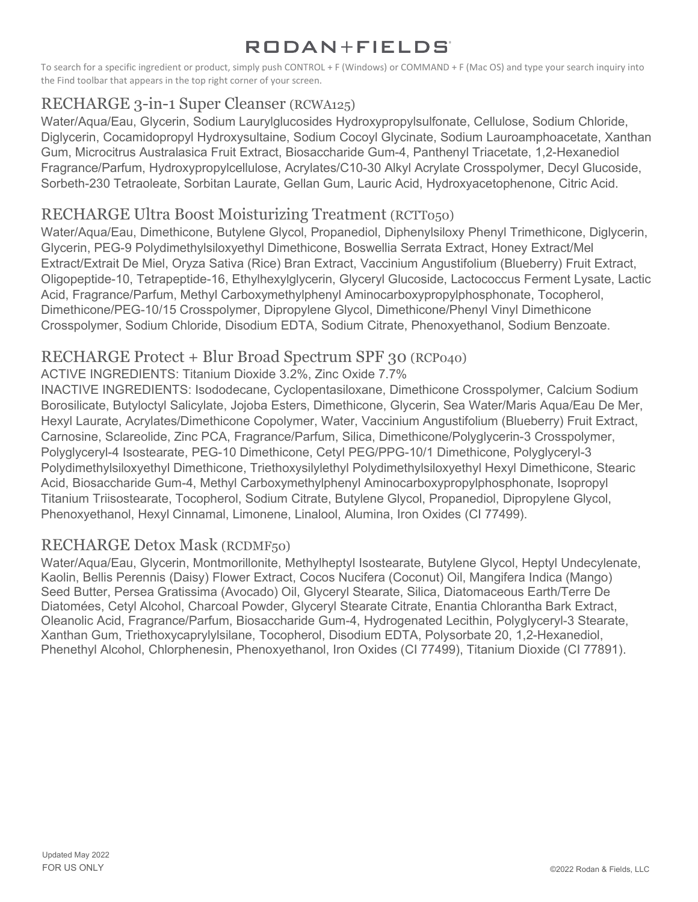To search for a specific ingredient or product, simply push CONTROL + F (Windows) or COMMAND + F (Mac OS) and type your search inquiry into the Find toolbar that appears in the top right corner of your screen.

# RECHARGE 3-in-1 Super Cleanser (RCWA125)

Water/Aqua/Eau, Glycerin, Sodium Laurylglucosides Hydroxypropylsulfonate, Cellulose, Sodium Chloride, Diglycerin, Cocamidopropyl Hydroxysultaine, Sodium Cocoyl Glycinate, Sodium Lauroamphoacetate, Xanthan Gum, Microcitrus Australasica Fruit Extract, Biosaccharide Gum-4, Panthenyl Triacetate, 1,2-Hexanediol Fragrance/Parfum, Hydroxypropylcellulose, Acrylates/C10-30 Alkyl Acrylate Crosspolymer, Decyl Glucoside, Sorbeth-230 Tetraoleate, Sorbitan Laurate, Gellan Gum, Lauric Acid, Hydroxyacetophenone, Citric Acid.

# RECHARGE Ultra Boost Moisturizing Treatment (RCTT050)

Water/Aqua/Eau, Dimethicone, Butylene Glycol, Propanediol, Diphenylsiloxy Phenyl Trimethicone, Diglycerin, Glycerin, PEG-9 Polydimethylsiloxyethyl Dimethicone, Boswellia Serrata Extract, Honey Extract/Mel Extract/Extrait De Miel, Oryza Sativa (Rice) Bran Extract, Vaccinium Angustifolium (Blueberry) Fruit Extract, Oligopeptide-10, Tetrapeptide-16, Ethylhexylglycerin, Glyceryl Glucoside, Lactococcus Ferment Lysate, Lactic Acid, Fragrance/Parfum, Methyl Carboxymethylphenyl Aminocarboxypropylphosphonate, Tocopherol, Dimethicone/PEG-10/15 Crosspolymer, Dipropylene Glycol, Dimethicone/Phenyl Vinyl Dimethicone Crosspolymer, Sodium Chloride, Disodium EDTA, Sodium Citrate, Phenoxyethanol, Sodium Benzoate.

### RECHARGE Protect + Blur Broad Spectrum SPF 30 (RCP040)

ACTIVE INGREDIENTS: Titanium Dioxide 3.2%, Zinc Oxide 7.7%

INACTIVE INGREDIENTS: Isododecane, Cyclopentasiloxane, Dimethicone Crosspolymer, Calcium Sodium Borosilicate, Butyloctyl Salicylate, Jojoba Esters, Dimethicone, Glycerin, Sea Water/Maris Aqua/Eau De Mer, Hexyl Laurate, Acrylates/Dimethicone Copolymer, Water, Vaccinium Angustifolium (Blueberry) Fruit Extract, Carnosine, Sclareolide, Zinc PCA, Fragrance/Parfum, Silica, Dimethicone/Polyglycerin-3 Crosspolymer, Polyglyceryl-4 Isostearate, PEG-10 Dimethicone, Cetyl PEG/PPG-10/1 Dimethicone, Polyglyceryl-3 Polydimethylsiloxyethyl Dimethicone, Triethoxysilylethyl Polydimethylsiloxyethyl Hexyl Dimethicone, Stearic Acid, Biosaccharide Gum-4, Methyl Carboxymethylphenyl Aminocarboxypropylphosphonate, Isopropyl Titanium Triisostearate, Tocopherol, Sodium Citrate, Butylene Glycol, Propanediol, Dipropylene Glycol, Phenoxyethanol, Hexyl Cinnamal, Limonene, Linalool, Alumina, Iron Oxides (CI 77499).

### RECHARGE Detox Mask (RCDMF50)

Water/Aqua/Eau, Glycerin, Montmorillonite, Methylheptyl Isostearate, Butylene Glycol, Heptyl Undecylenate, Kaolin, Bellis Perennis (Daisy) Flower Extract, Cocos Nucifera (Coconut) Oil, Mangifera Indica (Mango) Seed Butter, Persea Gratissima (Avocado) Oil, Glyceryl Stearate, Silica, Diatomaceous Earth/Terre De Diatomées, Cetyl Alcohol, Charcoal Powder, Glyceryl Stearate Citrate, Enantia Chlorantha Bark Extract, Oleanolic Acid, Fragrance/Parfum, Biosaccharide Gum-4, Hydrogenated Lecithin, Polyglyceryl-3 Stearate, Xanthan Gum, Triethoxycaprylylsilane, Tocopherol, Disodium EDTA, Polysorbate 20, 1,2-Hexanediol, Phenethyl Alcohol, Chlorphenesin, Phenoxyethanol, Iron Oxides (CI 77499), Titanium Dioxide (CI 77891).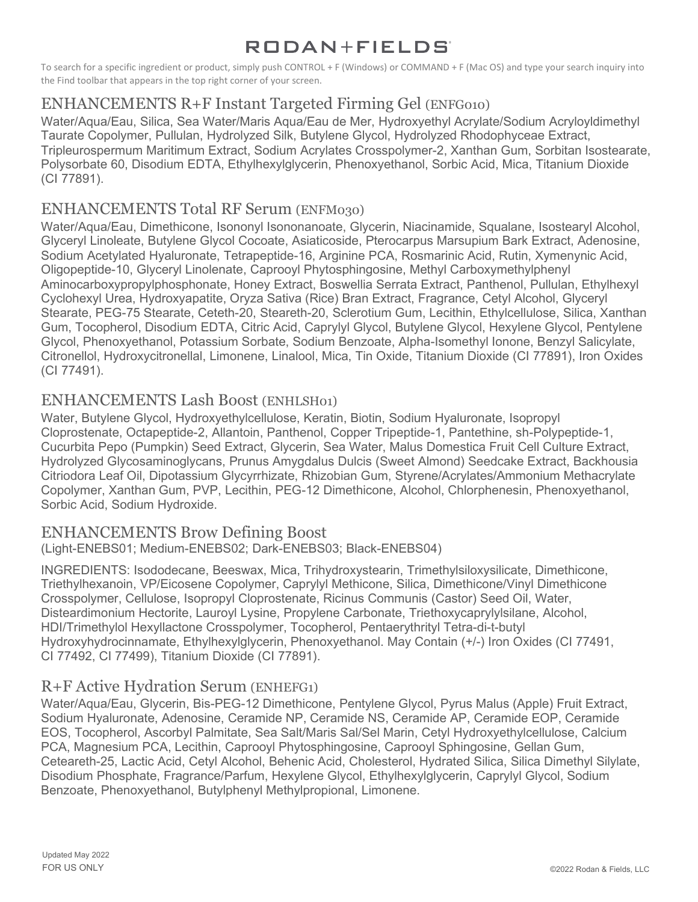To search for a specific ingredient or product, simply push CONTROL + F (Windows) or COMMAND + F (Mac OS) and type your search inquiry into the Find toolbar that appears in the top right corner of your screen.

# ENHANCEMENTS R+F Instant Targeted Firming Gel (ENFG010)

Water/Aqua/Eau, Silica, Sea Water/Maris Aqua/Eau de Mer, Hydroxyethyl Acrylate/Sodium Acryloyldimethyl Taurate Copolymer, Pullulan, Hydrolyzed Silk, Butylene Glycol, Hydrolyzed Rhodophyceae Extract, Tripleurospermum Maritimum Extract, Sodium Acrylates Crosspolymer-2, Xanthan Gum, Sorbitan Isostearate, Polysorbate 60, Disodium EDTA, Ethylhexylglycerin, Phenoxyethanol, Sorbic Acid, Mica, Titanium Dioxide (CI 77891).

### ENHANCEMENTS Total RF Serum (ENFM030)

Water/Aqua/Eau, Dimethicone, Isononyl Isononanoate, Glycerin, Niacinamide, Squalane, Isostearyl Alcohol, Glyceryl Linoleate, Butylene Glycol Cocoate, Asiaticoside, Pterocarpus Marsupium Bark Extract, Adenosine, Sodium Acetylated Hyaluronate, Tetrapeptide-16, Arginine PCA, Rosmarinic Acid, Rutin, Xymenynic Acid, Oligopeptide-10, Glyceryl Linolenate, Caprooyl Phytosphingosine, Methyl Carboxymethylphenyl Aminocarboxypropylphosphonate, Honey Extract, Boswellia Serrata Extract, Panthenol, Pullulan, Ethylhexyl Cyclohexyl Urea, Hydroxyapatite, Oryza Sativa (Rice) Bran Extract, Fragrance, Cetyl Alcohol, Glyceryl Stearate, PEG-75 Stearate, Ceteth-20, Steareth-20, Sclerotium Gum, Lecithin, Ethylcellulose, Silica, Xanthan Gum, Tocopherol, Disodium EDTA, Citric Acid, Caprylyl Glycol, Butylene Glycol, Hexylene Glycol, Pentylene Glycol, Phenoxyethanol, Potassium Sorbate, Sodium Benzoate, Alpha-Isomethyl Ionone, Benzyl Salicylate, Citronellol, Hydroxycitronellal, Limonene, Linalool, Mica, Tin Oxide, Titanium Dioxide (CI 77891), Iron Oxides (CI 77491).

### ENHANCEMENTS Lash Boost (ENHLSH01)

Water, Butylene Glycol, Hydroxyethylcellulose, Keratin, Biotin, Sodium Hyaluronate, Isopropyl Cloprostenate, Octapeptide-2, Allantoin, Panthenol, Copper Tripeptide-1, Pantethine, sh-Polypeptide-1, Cucurbita Pepo (Pumpkin) Seed Extract, Glycerin, Sea Water, Malus Domestica Fruit Cell Culture Extract, Hydrolyzed Glycosaminoglycans, Prunus Amygdalus Dulcis (Sweet Almond) Seedcake Extract, Backhousia Citriodora Leaf Oil, Dipotassium Glycyrrhizate, Rhizobian Gum, Styrene/Acrylates/Ammonium Methacrylate Copolymer, Xanthan Gum, PVP, Lecithin, PEG-12 Dimethicone, Alcohol, Chlorphenesin, Phenoxyethanol, Sorbic Acid, Sodium Hydroxide.

### ENHANCEMENTS Brow Defining Boost

(Light-ENEBS01; Medium-ENEBS02; Dark-ENEBS03; Black-ENEBS04)

INGREDIENTS: Isododecane, Beeswax, Mica, Trihydroxystearin, Trimethylsiloxysilicate, Dimethicone, Triethylhexanoin, VP/Eicosene Copolymer, Caprylyl Methicone, Silica, Dimethicone/Vinyl Dimethicone Crosspolymer, Cellulose, Isopropyl Cloprostenate, Ricinus Communis (Castor) Seed Oil, Water, Disteardimonium Hectorite, Lauroyl Lysine, Propylene Carbonate, Triethoxycaprylylsilane, Alcohol, HDI/Trimethylol Hexyllactone Crosspolymer, Tocopherol, Pentaerythrityl Tetra-di-t-butyl Hydroxyhydrocinnamate, Ethylhexylglycerin, Phenoxyethanol. May Contain (+/-) Iron Oxides (CI 77491, CI 77492, CI 77499), Titanium Dioxide (CI 77891).

### R+F Active Hydration Serum (ENHEFG1)

Water/Aqua/Eau, Glycerin, Bis-PEG-12 Dimethicone, Pentylene Glycol, Pyrus Malus (Apple) Fruit Extract, Sodium Hyaluronate, Adenosine, Ceramide NP, Ceramide NS, Ceramide AP, Ceramide EOP, Ceramide EOS, Tocopherol, Ascorbyl Palmitate, Sea Salt/Maris Sal/Sel Marin, Cetyl Hydroxyethylcellulose, Calcium PCA, Magnesium PCA, Lecithin, Caprooyl Phytosphingosine, Caprooyl Sphingosine, Gellan Gum, Ceteareth-25, Lactic Acid, Cetyl Alcohol, Behenic Acid, Cholesterol, Hydrated Silica, Silica Dimethyl Silylate, Disodium Phosphate, Fragrance/Parfum, Hexylene Glycol, Ethylhexylglycerin, Caprylyl Glycol, Sodium Benzoate, Phenoxyethanol, Butylphenyl Methylpropional, Limonene.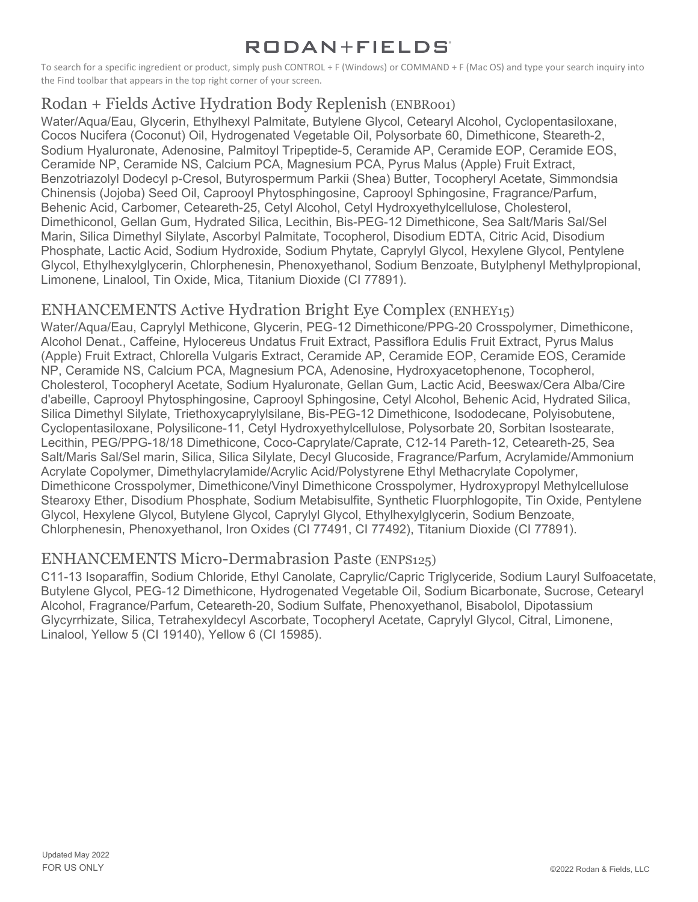To search for a specific ingredient or product, simply push CONTROL + F (Windows) or COMMAND + F (Mac OS) and type your search inquiry into the Find toolbar that appears in the top right corner of your screen.

# Rodan + Fields Active Hydration Body Replenish (ENBR001)

Water/Aqua/Eau, Glycerin, Ethylhexyl Palmitate, Butylene Glycol, Cetearyl Alcohol, Cyclopentasiloxane, Cocos Nucifera (Coconut) Oil, Hydrogenated Vegetable Oil, Polysorbate 60, Dimethicone, Steareth-2, Sodium Hyaluronate, Adenosine, Palmitoyl Tripeptide-5, Ceramide AP, Ceramide EOP, Ceramide EOS, Ceramide NP, Ceramide NS, Calcium PCA, Magnesium PCA, Pyrus Malus (Apple) Fruit Extract, Benzotriazolyl Dodecyl p-Cresol, Butyrospermum Parkii (Shea) Butter, Tocopheryl Acetate, Simmondsia Chinensis (Jojoba) Seed Oil, Caprooyl Phytosphingosine, Caprooyl Sphingosine, Fragrance/Parfum, Behenic Acid, Carbomer, Ceteareth-25, Cetyl Alcohol, Cetyl Hydroxyethylcellulose, Cholesterol, Dimethiconol, Gellan Gum, Hydrated Silica, Lecithin, Bis-PEG-12 Dimethicone, Sea Salt/Maris Sal/Sel Marin, Silica Dimethyl Silylate, Ascorbyl Palmitate, Tocopherol, Disodium EDTA, Citric Acid, Disodium Phosphate, Lactic Acid, Sodium Hydroxide, Sodium Phytate, Caprylyl Glycol, Hexylene Glycol, Pentylene Glycol, Ethylhexylglycerin, Chlorphenesin, Phenoxyethanol, Sodium Benzoate, Butylphenyl Methylpropional, Limonene, Linalool, Tin Oxide, Mica, Titanium Dioxide (CI 77891).

### ENHANCEMENTS Active Hydration Bright Eye Complex (ENHEY15)

Water/Aqua/Eau, Caprylyl Methicone, Glycerin, PEG-12 Dimethicone/PPG-20 Crosspolymer, Dimethicone, Alcohol Denat., Caffeine, Hylocereus Undatus Fruit Extract, Passiflora Edulis Fruit Extract, Pyrus Malus (Apple) Fruit Extract, Chlorella Vulgaris Extract, Ceramide AP, Ceramide EOP, Ceramide EOS, Ceramide NP, Ceramide NS, Calcium PCA, Magnesium PCA, Adenosine, Hydroxyacetophenone, Tocopherol, Cholesterol, Tocopheryl Acetate, Sodium Hyaluronate, Gellan Gum, Lactic Acid, Beeswax/Cera Alba/Cire d'abeille, Caprooyl Phytosphingosine, Caprooyl Sphingosine, Cetyl Alcohol, Behenic Acid, Hydrated Silica, Silica Dimethyl Silylate, Triethoxycaprylylsilane, Bis-PEG-12 Dimethicone, Isododecane, Polyisobutene, Cyclopentasiloxane, Polysilicone-11, Cetyl Hydroxyethylcellulose, Polysorbate 20, Sorbitan Isostearate, Lecithin, PEG/PPG-18/18 Dimethicone, Coco-Caprylate/Caprate, C12-14 Pareth-12, Ceteareth-25, Sea Salt/Maris Sal/Sel marin, Silica, Silica Silylate, Decyl Glucoside, Fragrance/Parfum, Acrylamide/Ammonium Acrylate Copolymer, Dimethylacrylamide/Acrylic Acid/Polystyrene Ethyl Methacrylate Copolymer, Dimethicone Crosspolymer, Dimethicone/Vinyl Dimethicone Crosspolymer, Hydroxypropyl Methylcellulose Stearoxy Ether, Disodium Phosphate, Sodium Metabisulfite, Synthetic Fluorphlogopite, Tin Oxide, Pentylene Glycol, Hexylene Glycol, Butylene Glycol, Caprylyl Glycol, Ethylhexylglycerin, Sodium Benzoate, Chlorphenesin, Phenoxyethanol, Iron Oxides (CI 77491, CI 77492), Titanium Dioxide (CI 77891).

### ENHANCEMENTS Micro-Dermabrasion Paste (ENPS125)

C11-13 Isoparaffin, Sodium Chloride, Ethyl Canolate, Caprylic/Capric Triglyceride, Sodium Lauryl Sulfoacetate, Butylene Glycol, PEG-12 Dimethicone, Hydrogenated Vegetable Oil, Sodium Bicarbonate, Sucrose, Cetearyl Alcohol, Fragrance/Parfum, Ceteareth-20, Sodium Sulfate, Phenoxyethanol, Bisabolol, Dipotassium Glycyrrhizate, Silica, Tetrahexyldecyl Ascorbate, Tocopheryl Acetate, Caprylyl Glycol, Citral, Limonene, Linalool, Yellow 5 (CI 19140), Yellow 6 (CI 15985).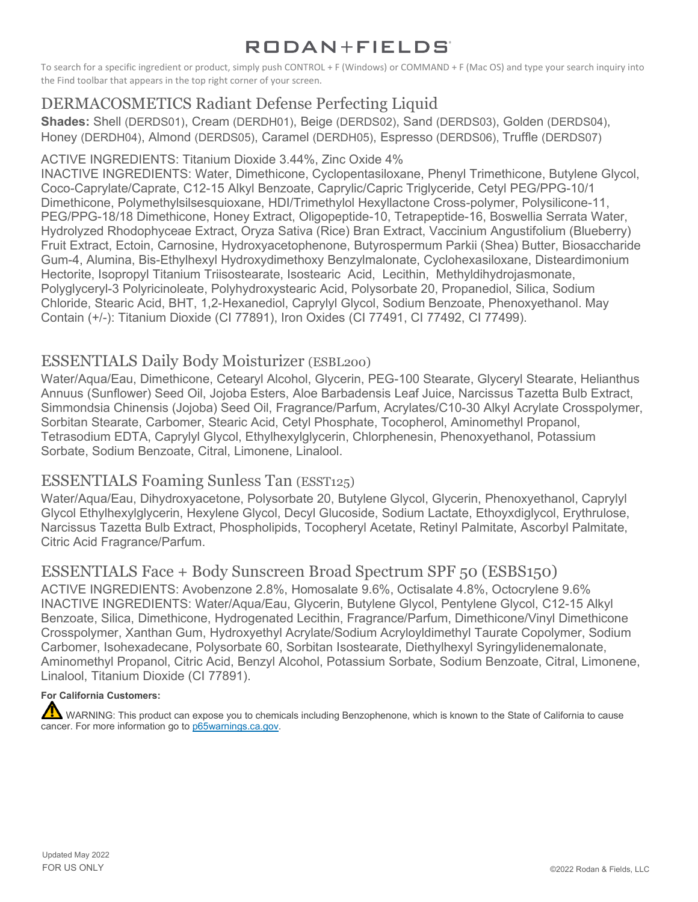To search for a specific ingredient or product, simply push CONTROL + F (Windows) or COMMAND + F (Mac OS) and type your search inquiry into the Find toolbar that appears in the top right corner of your screen.

# DERMACOSMETICS Radiant Defense Perfecting Liquid

**Shades:** Shell (DERDS01), Cream (DERDH01), Beige (DERDS02), Sand (DERDS03), Golden (DERDS04), Honey (DERDH04), Almond (DERDS05), Caramel (DERDH05), Espresso (DERDS06), Truffle (DERDS07)

#### ACTIVE INGREDIENTS: Titanium Dioxide 3.44%, Zinc Oxide 4%

INACTIVE INGREDIENTS: Water, Dimethicone, Cyclopentasiloxane, Phenyl Trimethicone, Butylene Glycol, Coco-Caprylate/Caprate, C12-15 Alkyl Benzoate, Caprylic/Capric Triglyceride, Cetyl PEG/PPG-10/1 Dimethicone, Polymethylsilsesquioxane, HDI/Trimethylol Hexyllactone Cross-polymer, Polysilicone-11, PEG/PPG-18/18 Dimethicone, Honey Extract, Oligopeptide-10, Tetrapeptide-16, Boswellia Serrata Water, Hydrolyzed Rhodophyceae Extract, Oryza Sativa (Rice) Bran Extract, Vaccinium Angustifolium (Blueberry) Fruit Extract, Ectoin, Carnosine, Hydroxyacetophenone, Butyrospermum Parkii (Shea) Butter, Biosaccharide Gum-4, Alumina, Bis-Ethylhexyl Hydroxydimethoxy Benzylmalonate, Cyclohexasiloxane, Disteardimonium Hectorite, Isopropyl Titanium Triisostearate, Isostearic Acid, Lecithin, Methyldihydrojasmonate, Polyglyceryl-3 Polyricinoleate, Polyhydroxystearic Acid, Polysorbate 20, Propanediol, Silica, Sodium Chloride, Stearic Acid, BHT, 1,2-Hexanediol, Caprylyl Glycol, Sodium Benzoate, Phenoxyethanol. May Contain (+/-): Titanium Dioxide (CI 77891), Iron Oxides (CI 77491, CI 77492, CI 77499).

### ESSENTIALS Daily Body Moisturizer (ESBL200)

Water/Aqua/Eau, Dimethicone, Cetearyl Alcohol, Glycerin, PEG-100 Stearate, Glyceryl Stearate, Helianthus Annuus (Sunflower) Seed Oil, Jojoba Esters, Aloe Barbadensis Leaf Juice, Narcissus Tazetta Bulb Extract, Simmondsia Chinensis (Jojoba) Seed Oil, Fragrance/Parfum, Acrylates/C10-30 Alkyl Acrylate Crosspolymer, Sorbitan Stearate, Carbomer, Stearic Acid, Cetyl Phosphate, Tocopherol, Aminomethyl Propanol, Tetrasodium EDTA, Caprylyl Glycol, Ethylhexylglycerin, Chlorphenesin, Phenoxyethanol, Potassium Sorbate, Sodium Benzoate, Citral, Limonene, Linalool.

### ESSENTIALS Foaming Sunless Tan (ESST125)

Water/Aqua/Eau, Dihydroxyacetone, Polysorbate 20, Butylene Glycol, Glycerin, Phenoxyethanol, Caprylyl Glycol Ethylhexylglycerin, Hexylene Glycol, Decyl Glucoside, Sodium Lactate, Ethoyxdiglycol, Erythrulose, Narcissus Tazetta Bulb Extract, Phospholipids, Tocopheryl Acetate, Retinyl Palmitate, Ascorbyl Palmitate, Citric Acid Fragrance/Parfum.

# ESSENTIALS Face + Body Sunscreen Broad Spectrum SPF 50 (ESBS150)

ACTIVE INGREDIENTS: Avobenzone 2.8%, Homosalate 9.6%, Octisalate 4.8%, Octocrylene 9.6% INACTIVE INGREDIENTS: Water/Aqua/Eau, Glycerin, Butylene Glycol, Pentylene Glycol, C12-15 Alkyl Benzoate, Silica, Dimethicone, Hydrogenated Lecithin, Fragrance/Parfum, Dimethicone/Vinyl Dimethicone Crosspolymer, Xanthan Gum, Hydroxyethyl Acrylate/Sodium Acryloyldimethyl Taurate Copolymer, Sodium Carbomer, Isohexadecane, Polysorbate 60, Sorbitan Isostearate, Diethylhexyl Syringylidenemalonate, Aminomethyl Propanol, Citric Acid, Benzyl Alcohol, Potassium Sorbate, Sodium Benzoate, Citral, Limonene, Linalool, Titanium Dioxide (CI 77891).

#### **For California Customers:**

WARNING: This product can expose you to chemicals including Benzophenone, which is known to the State of California to cause cancer. For more information go to [p65warnings.ca.gov.](https://www.p65warnings.ca.gov/)